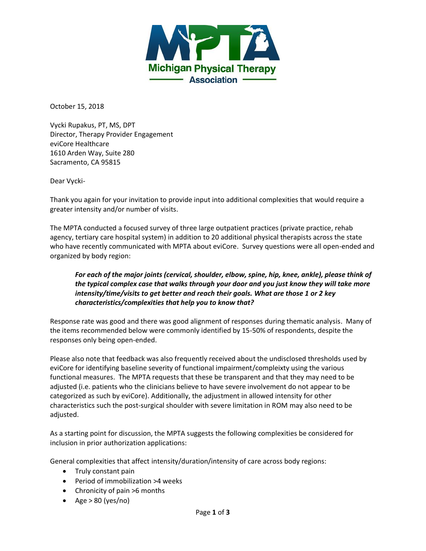

October 15, 2018

Vycki Rupakus, PT, MS, DPT Director, Therapy Provider Engagement eviCore Healthcare 1610 Arden Way, Suite 280 Sacramento, CA 95815

Dear Vycki-

Thank you again for your invitation to provide input into additional complexities that would require a greater intensity and/or number of visits.

The MPTA conducted a focused survey of three large outpatient practices (private practice, rehab agency, tertiary care hospital system) in addition to 20 additional physical therapists across the state who have recently communicated with MPTA about eviCore. Survey questions were all open-ended and organized by body region:

# *For each of the major joints (cervical, shoulder, elbow, spine, hip, knee, ankle), please think of the typical complex case that walks through your door and you just know they will take more intensity/time/visits to get better and reach their goals. What are those 1 or 2 key characteristics/complexities that help you to know that?*

Response rate was good and there was good alignment of responses during thematic analysis. Many of the items recommended below were commonly identified by 15-50% of respondents, despite the responses only being open-ended.

Please also note that feedback was also frequently received about the undisclosed thresholds used by eviCore for identifying baseline severity of functional impairment/compleixty using the various functional measures. The MPTA requests that these be transparent and that they may need to be adjusted (i.e. patients who the clinicians believe to have severe involvement do not appear to be categorized as such by eviCore). Additionally, the adjustment in allowed intensity for other characteristics such the post-surgical shoulder with severe limitation in ROM may also need to be adjusted.

As a starting point for discussion, the MPTA suggests the following complexities be considered for inclusion in prior authorization applications:

General complexities that affect intensity/duration/intensity of care across body regions:

- Truly constant pain
- Period of immobilization >4 weeks
- Chronicity of pain >6 months
- Age  $> 80$  (yes/no)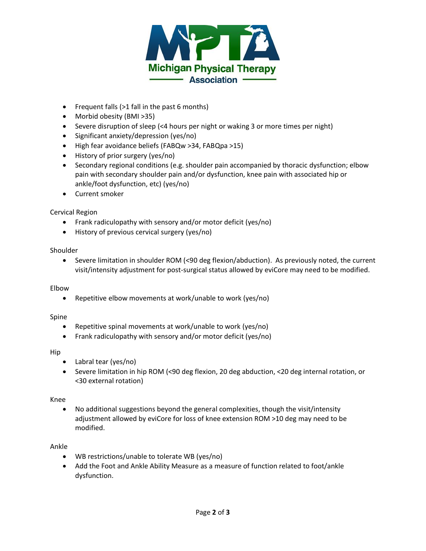

- Frequent falls (>1 fall in the past 6 months)
- Morbid obesity (BMI > 35)
- Severe disruption of sleep (<4 hours per night or waking 3 or more times per night)
- Significant anxiety/depression (yes/no)
- High fear avoidance beliefs (FABQw >34, FABQpa >15)
- History of prior surgery (yes/no)
- Secondary regional conditions (e.g. shoulder pain accompanied by thoracic dysfunction; elbow pain with secondary shoulder pain and/or dysfunction, knee pain with associated hip or ankle/foot dysfunction, etc) (yes/no)
- Current smoker

## Cervical Region

- Frank radiculopathy with sensory and/or motor deficit (yes/no)
- History of previous cervical surgery (yes/no)

## Shoulder

 Severe limitation in shoulder ROM (<90 deg flexion/abduction). As previously noted, the current visit/intensity adjustment for post-surgical status allowed by eviCore may need to be modified.

## Elbow

Repetitive elbow movements at work/unable to work (yes/no)

## Spine

- Repetitive spinal movements at work/unable to work (yes/no)
- Frank radiculopathy with sensory and/or motor deficit (yes/no)

### Hip

- Labral tear (yes/no)
- Severe limitation in hip ROM (<90 deg flexion, 20 deg abduction, <20 deg internal rotation, or <30 external rotation)

## Knee

 No additional suggestions beyond the general complexities, though the visit/intensity adjustment allowed by eviCore for loss of knee extension ROM >10 deg may need to be modified.

## Ankle

- WB restrictions/unable to tolerate WB (yes/no)
- Add the Foot and Ankle Ability Measure as a measure of function related to foot/ankle dysfunction.